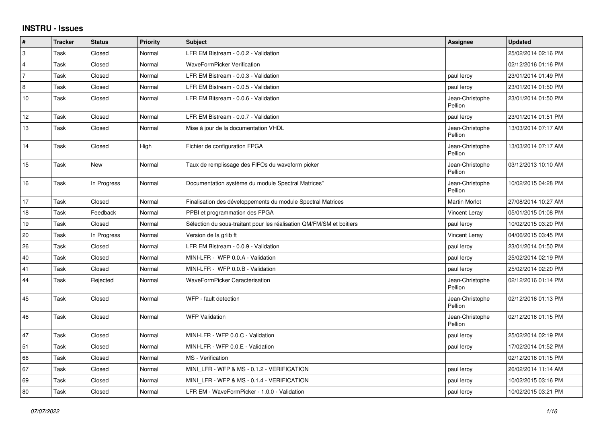## **INSTRU - Issues**

| $\vert$ #      | <b>Tracker</b> | <b>Status</b> | <b>Priority</b> | <b>Subject</b>                                                       | Assignee                   | <b>Updated</b>      |
|----------------|----------------|---------------|-----------------|----------------------------------------------------------------------|----------------------------|---------------------|
| 3              | Task           | Closed        | Normal          | LFR EM Bistream - 0.0.2 - Validation                                 |                            | 25/02/2014 02:16 PM |
| 4              | Task           | Closed        | Normal          | <b>WaveFormPicker Verification</b>                                   |                            | 02/12/2016 01:16 PM |
| $\overline{7}$ | Task           | Closed        | Normal          | LFR EM Bistream - 0.0.3 - Validation                                 | paul leroy                 | 23/01/2014 01:49 PM |
| 8              | Task           | Closed        | Normal          | LFR EM Bistream - 0.0.5 - Validation                                 | paul leroy                 | 23/01/2014 01:50 PM |
| 10             | Task           | Closed        | Normal          | LFR EM Bitsream - 0.0.6 - Validation                                 | Jean-Christophe<br>Pellion | 23/01/2014 01:50 PM |
| 12             | Task           | Closed        | Normal          | LFR EM Bistream - 0.0.7 - Validation                                 | paul leroy                 | 23/01/2014 01:51 PM |
| 13             | Task           | Closed        | Normal          | Mise à jour de la documentation VHDL                                 | Jean-Christophe<br>Pellion | 13/03/2014 07:17 AM |
| 14             | Task           | Closed        | High            | Fichier de configuration FPGA                                        | Jean-Christophe<br>Pellion | 13/03/2014 07:17 AM |
| 15             | Task           | New           | Normal          | Taux de remplissage des FIFOs du waveform picker                     | Jean-Christophe<br>Pellion | 03/12/2013 10:10 AM |
| 16             | Task           | In Progress   | Normal          | Documentation système du module Spectral Matrices"                   | Jean-Christophe<br>Pellion | 10/02/2015 04:28 PM |
| 17             | Task           | Closed        | Normal          | Finalisation des développements du module Spectral Matrices          | <b>Martin Morlot</b>       | 27/08/2014 10:27 AM |
| 18             | Task           | Feedback      | Normal          | PPBI et programmation des FPGA                                       | Vincent Leray              | 05/01/2015 01:08 PM |
| 19             | Task           | Closed        | Normal          | Sélection du sous-traitant pour les réalisation QM/FM/SM et boitiers | paul leroy                 | 10/02/2015 03:20 PM |
| 20             | Task           | In Progress   | Normal          | Version de la grlib ft                                               | Vincent Leray              | 04/06/2015 03:45 PM |
| 26             | Task           | Closed        | Normal          | LFR EM Bistream - 0.0.9 - Validation                                 | paul leroy                 | 23/01/2014 01:50 PM |
| 40             | Task           | Closed        | Normal          | MINI-LFR - WFP 0.0.A - Validation                                    | paul leroy                 | 25/02/2014 02:19 PM |
| 41             | Task           | Closed        | Normal          | MINI-LFR - WFP 0.0.B - Validation                                    | paul leroy                 | 25/02/2014 02:20 PM |
| 44             | Task           | Rejected      | Normal          | WaveFormPicker Caracterisation                                       | Jean-Christophe<br>Pellion | 02/12/2016 01:14 PM |
| 45             | Task           | Closed        | Normal          | WFP - fault detection                                                | Jean-Christophe<br>Pellion | 02/12/2016 01:13 PM |
| 46             | Task           | Closed        | Normal          | <b>WFP Validation</b>                                                | Jean-Christophe<br>Pellion | 02/12/2016 01:15 PM |
| 47             | Task           | Closed        | Normal          | MINI-LFR - WFP 0.0.C - Validation                                    | paul leroy                 | 25/02/2014 02:19 PM |
| 51             | Task           | Closed        | Normal          | MINI-LFR - WFP 0.0.E - Validation                                    | paul leroy                 | 17/02/2014 01:52 PM |
| 66             | Task           | Closed        | Normal          | <b>MS</b> - Verification                                             |                            | 02/12/2016 01:15 PM |
| 67             | Task           | Closed        | Normal          | MINI_LFR - WFP & MS - 0.1.2 - VERIFICATION                           | paul leroy                 | 26/02/2014 11:14 AM |
| 69             | Task           | Closed        | Normal          | MINI LFR - WFP & MS - 0.1.4 - VERIFICATION                           | paul leroy                 | 10/02/2015 03:16 PM |
| 80             | Task           | Closed        | Normal          | LFR EM - WaveFormPicker - 1.0.0 - Validation                         | paul leroy                 | 10/02/2015 03:21 PM |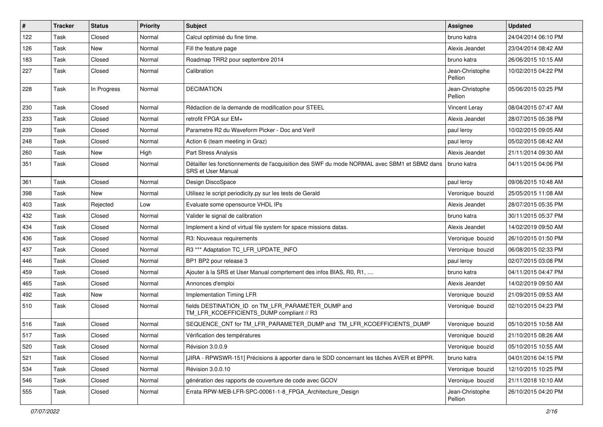| $\vert$ # | <b>Tracker</b> | <b>Status</b> | Priority | <b>Subject</b>                                                                                                     | Assignee                   | <b>Updated</b>      |
|-----------|----------------|---------------|----------|--------------------------------------------------------------------------------------------------------------------|----------------------------|---------------------|
| 122       | Task           | Closed        | Normal   | Calcul optimisé du fine time.                                                                                      | bruno katra                | 24/04/2014 06:10 PM |
| 126       | Task           | New           | Normal   | Fill the feature page                                                                                              | Alexis Jeandet             | 23/04/2014 08:42 AM |
| 183       | Task           | Closed        | Normal   | Roadmap TRR2 pour septembre 2014                                                                                   | bruno katra                | 26/06/2015 10:15 AM |
| 227       | Task           | Closed        | Normal   | Calibration                                                                                                        | Jean-Christophe<br>Pellion | 10/02/2015 04:22 PM |
| 228       | Task           | In Progress   | Normal   | <b>DECIMATION</b>                                                                                                  | Jean-Christophe<br>Pellion | 05/06/2015 03:25 PM |
| 230       | Task           | Closed        | Normal   | Rédaction de la demande de modification pour STEEL                                                                 | Vincent Leray              | 08/04/2015 07:47 AM |
| 233       | Task           | Closed        | Normal   | retrofit FPGA sur EM+                                                                                              | Alexis Jeandet             | 28/07/2015 05:38 PM |
| 239       | Task           | Closed        | Normal   | Parametre R2 du Waveform Picker - Doc and Verif                                                                    | paul leroy                 | 10/02/2015 09:05 AM |
| 248       | Task           | Closed        | Normal   | Action 6 (team meeting in Graz)                                                                                    | paul leroy                 | 05/02/2015 08:42 AM |
| 260       | Task           | New           | High     | <b>Part Stress Analysis</b>                                                                                        | Alexis Jeandet             | 21/11/2014 09:30 AM |
| 351       | Task           | Closed        | Normal   | Détailler les fonctionnements de l'acquisition des SWF du mode NORMAL avec SBM1 et SBM2 dans<br>SRS et User Manual | bruno katra                | 04/11/2015 04:06 PM |
| 361       | Task           | Closed        | Normal   | Design DiscoSpace                                                                                                  | paul leroy                 | 09/06/2015 10:48 AM |
| 398       | Task           | New           | Normal   | Utilisez le script periodicity py sur les tests de Gerald                                                          | Veronique bouzid           | 25/05/2015 11:08 AM |
| 403       | Task           | Rejected      | Low      | Evaluate some opensource VHDL IPs                                                                                  | Alexis Jeandet             | 28/07/2015 05:35 PM |
| 432       | Task           | Closed        | Normal   | Valider le signal de calibration                                                                                   | bruno katra                | 30/11/2015 05:37 PM |
| 434       | Task           | Closed        | Normal   | Implement a kind of virtual file system for space missions datas.                                                  | Alexis Jeandet             | 14/02/2019 09:50 AM |
| 436       | Task           | Closed        | Normal   | R3: Nouveaux requirements                                                                                          | Veronique bouzid           | 26/10/2015 01:50 PM |
| 437       | Task           | Closed        | Normal   | R3 *** Adaptation TC_LFR_UPDATE_INFO                                                                               | Veronique bouzid           | 06/08/2015 02:33 PM |
| 446       | Task           | Closed        | Normal   | BP1 BP2 pour release 3                                                                                             | paul leroy                 | 02/07/2015 03:08 PM |
| 459       | Task           | Closed        | Normal   | Ajouter à la SRS et User Manual comprtement des infos BIAS, R0, R1,                                                | bruno katra                | 04/11/2015 04:47 PM |
| 465       | Task           | Closed        | Normal   | Annonces d'emploi                                                                                                  | Alexis Jeandet             | 14/02/2019 09:50 AM |
| 492       | Task           | New           | Normal   | Implementation Timing LFR                                                                                          | Veronique bouzid           | 21/09/2015 09:53 AM |
| 510       | Task           | Closed        | Normal   | fields DESTINATION_ID on TM_LFR_PARAMETER_DUMP and<br>TM_LFR_KCOEFFICIENTS_DUMP compliant // R3                    | Veronique bouzid           | 02/10/2015 04:23 PM |
| 516       | Task           | Closed        | Normal   | SEQUENCE_CNT for TM_LFR_PARAMETER_DUMP and TM_LFR_KCOEFFICIENTS_DUMP                                               | Veronique bouzid           | 05/10/2015 10:58 AM |
| 517       | Task           | Closed        | Normal   | Vérification des températures                                                                                      | Veronique bouzid           | 21/10/2015 08:26 AM |
| 520       | Task           | Closed        | Normal   | Révision 3.0.0.9                                                                                                   | Veronique bouzid           | 05/10/2015 10:55 AM |
| 521       | Task           | Closed        | Normal   | [JIRA - RPWSWR-151] Précisions à apporter dans le SDD concernant les tâches AVER et BPPR.                          | bruno katra                | 04/01/2016 04:15 PM |
| 534       | Task           | Closed        | Normal   | Révision 3.0.0.10                                                                                                  | Veronique bouzid           | 12/10/2015 10:25 PM |
| 546       | Task           | Closed        | Normal   | génération des rapports de couverture de code avec GCOV                                                            | Veronique bouzid           | 21/11/2018 10:10 AM |
| 555       | Task           | Closed        | Normal   | Errata RPW-MEB-LFR-SPC-00061-1-8_FPGA_Architecture_Design                                                          | Jean-Christophe<br>Pellion | 26/10/2015 04:20 PM |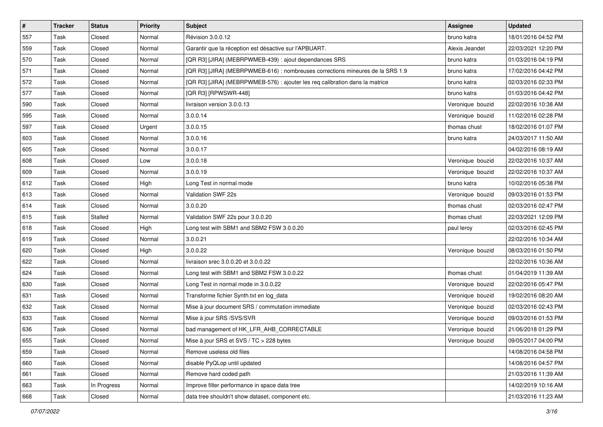| $\vert$ # | <b>Tracker</b> | <b>Status</b> | <b>Priority</b> | <b>Subject</b>                                                                 | <b>Assignee</b>  | <b>Updated</b>      |
|-----------|----------------|---------------|-----------------|--------------------------------------------------------------------------------|------------------|---------------------|
| 557       | Task           | Closed        | Normal          | Révision 3.0.0.12                                                              | bruno katra      | 18/01/2016 04:52 PM |
| 559       | Task           | Closed        | Normal          | Garantir que la réception est désactive sur l'APBUART.                         | Alexis Jeandet   | 22/03/2021 12:20 PM |
| 570       | Task           | Closed        | Normal          | [QR R3] [JIRA] (MEBRPWMEB-439) : ajout dependances SRS                         | bruno katra      | 01/03/2016 04:19 PM |
| 571       | Task           | Closed        | Normal          | [QR R3] [JIRA] (MEBRPWMEB-616) : nombreuses corrections mineures de la SRS 1.9 | bruno katra      | 17/02/2016 04:42 PM |
| 572       | Task           | Closed        | Normal          | [QR R3] [JIRA] (MEBRPWMEB-576) : ajouter les req calibration dans la matrice   | bruno katra      | 02/03/2016 02:33 PM |
| 577       | Task           | Closed        | Normal          | [QR R3] [RPWSWR-448]                                                           | bruno katra      | 01/03/2016 04:42 PM |
| 590       | Task           | Closed        | Normal          | livraison version 3.0.0.13                                                     | Veronique bouzid | 22/02/2016 10:38 AM |
| 595       | Task           | Closed        | Normal          | 3.0.0.14                                                                       | Veronique bouzid | 11/02/2016 02:28 PM |
| 597       | Task           | Closed        | Urgent          | 3.0.0.15                                                                       | thomas chust     | 18/02/2016 01:07 PM |
| 603       | Task           | Closed        | Normal          | 3.0.0.16                                                                       | bruno katra      | 24/03/2017 11:50 AM |
| 605       | Task           | Closed        | Normal          | 3.0.0.17                                                                       |                  | 04/02/2016 08:19 AM |
| 608       | Task           | Closed        | Low             | 3.0.0.18                                                                       | Veronique bouzid | 22/02/2016 10:37 AM |
| 609       | Task           | Closed        | Normal          | 3.0.0.19                                                                       | Veronique bouzid | 22/02/2016 10:37 AM |
| 612       | Task           | Closed        | High            | Long Test in normal mode                                                       | bruno katra      | 10/02/2016 05:38 PM |
| 613       | Task           | Closed        | Normal          | Validation SWF 22s                                                             | Veronique bouzid | 09/03/2016 01:53 PM |
| 614       | Task           | Closed        | Normal          | 3.0.0.20                                                                       | thomas chust     | 02/03/2016 02:47 PM |
| 615       | Task           | Stalled       | Normal          | Validation SWF 22s pour 3.0.0.20                                               | thomas chust     | 22/03/2021 12:09 PM |
| 618       | Task           | Closed        | High            | Long test with SBM1 and SBM2 FSW 3.0.0.20                                      | paul leroy       | 02/03/2016 02:45 PM |
| 619       | Task           | Closed        | Normal          | 3.0.0.21                                                                       |                  | 22/02/2016 10:34 AM |
| 620       | Task           | Closed        | High            | 3.0.0.22                                                                       | Veronique bouzid | 08/03/2016 01:50 PM |
| 622       | Task           | Closed        | Normal          | livraison srec 3.0.0.20 et 3.0.0.22                                            |                  | 22/02/2016 10:36 AM |
| 624       | Task           | Closed        | Normal          | Long test with SBM1 and SBM2 FSW 3.0.0.22                                      | thomas chust     | 01/04/2019 11:39 AM |
| 630       | Task           | Closed        | Normal          | Long Test in normal mode in 3.0.0.22                                           | Veronique bouzid | 22/02/2016 05:47 PM |
| 631       | Task           | Closed        | Normal          | Transforme fichier Synth.txt en log data                                       | Veronique bouzid | 19/02/2016 08:20 AM |
| 632       | Task           | Closed        | Normal          | Mise à jour document SRS / commutation immediate                               | Veronique bouzid | 02/03/2016 02:43 PM |
| 633       | Task           | Closed        | Normal          | Mise à jour SRS /SVS/SVR                                                       | Veronique bouzid | 09/03/2016 01:53 PM |
| 636       | Task           | Closed        | Normal          | bad management of HK LFR AHB CORRECTABLE                                       | Veronique bouzid | 21/06/2018 01:29 PM |
| 655       | Task           | Closed        | Normal          | Mise à jour SRS et SVS / TC > 228 bytes                                        | Veronique bouzid | 09/05/2017 04:00 PM |
| 659       | Task           | Closed        | Normal          | Remove useless old files                                                       |                  | 14/08/2016 04:58 PM |
| 660       | Task           | Closed        | Normal          | disable PyQLop until updated                                                   |                  | 14/08/2016 04:57 PM |
| 661       | Task           | Closed        | Normal          | Remove hard coded path                                                         |                  | 21/03/2016 11:39 AM |
| 663       | Task           | In Progress   | Normal          | Improve filter performance in space data tree                                  |                  | 14/02/2019 10:16 AM |
| 668       | Task           | Closed        | Normal          | data tree shouldn't show dataset, component etc.                               |                  | 21/03/2016 11:23 AM |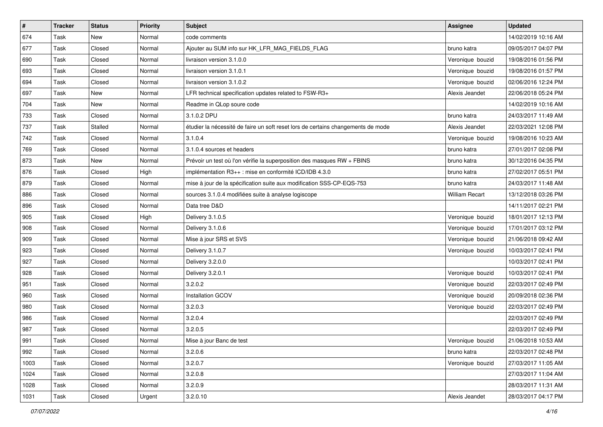| $\vert$ # | <b>Tracker</b> | <b>Status</b> | <b>Priority</b> | <b>Subject</b>                                                                   | <b>Assignee</b>       | <b>Updated</b>      |
|-----------|----------------|---------------|-----------------|----------------------------------------------------------------------------------|-----------------------|---------------------|
| 674       | Task           | New           | Normal          | code comments                                                                    |                       | 14/02/2019 10:16 AM |
| 677       | Task           | Closed        | Normal          | Ajouter au SUM info sur HK_LFR_MAG_FIELDS_FLAG                                   | bruno katra           | 09/05/2017 04:07 PM |
| 690       | Task           | Closed        | Normal          | livraison version 3.1.0.0                                                        | Veronique bouzid      | 19/08/2016 01:56 PM |
| 693       | Task           | Closed        | Normal          | livraison version 3.1.0.1                                                        | Veronique bouzid      | 19/08/2016 01:57 PM |
| 694       | Task           | Closed        | Normal          | livraison version 3.1.0.2                                                        | Veronique bouzid      | 02/06/2016 12:24 PM |
| 697       | Task           | New           | Normal          | LFR technical specification updates related to FSW-R3+                           | Alexis Jeandet        | 22/06/2018 05:24 PM |
| 704       | Task           | New           | Normal          | Readme in QLop soure code                                                        |                       | 14/02/2019 10:16 AM |
| 733       | Task           | Closed        | Normal          | 3.1.0.2 DPU                                                                      | bruno katra           | 24/03/2017 11:49 AM |
| 737       | Task           | Stalled       | Normal          | étudier la nécessité de faire un soft reset lors de certains changements de mode | Alexis Jeandet        | 22/03/2021 12:08 PM |
| 742       | Task           | Closed        | Normal          | 3.1.0.4                                                                          | Veronique bouzid      | 19/08/2016 10:23 AM |
| 769       | Task           | Closed        | Normal          | 3.1.0.4 sources et headers                                                       | bruno katra           | 27/01/2017 02:08 PM |
| 873       | Task           | New           | Normal          | Prévoir un test où l'on vérifie la superposition des masques RW + FBINS          | bruno katra           | 30/12/2016 04:35 PM |
| 876       | Task           | Closed        | High            | implémentation R3++ : mise en conformité ICD/IDB 4.3.0                           | bruno katra           | 27/02/2017 05:51 PM |
| 879       | Task           | Closed        | Normal          | mise à jour de la spécification suite aux modification SSS-CP-EQS-753            | bruno katra           | 24/03/2017 11:48 AM |
| 886       | Task           | Closed        | Normal          | sources 3.1.0.4 modifiées suite à analyse logiscope                              | <b>William Recart</b> | 13/12/2018 03:26 PM |
| 896       | Task           | Closed        | Normal          | Data tree D&D                                                                    |                       | 14/11/2017 02:21 PM |
| 905       | Task           | Closed        | High            | Delivery 3.1.0.5                                                                 | Veronique bouzid      | 18/01/2017 12:13 PM |
| 908       | Task           | Closed        | Normal          | Delivery 3.1.0.6                                                                 | Veronique bouzid      | 17/01/2017 03:12 PM |
| 909       | Task           | Closed        | Normal          | Mise à jour SRS et SVS                                                           | Veronique bouzid      | 21/06/2018 09:42 AM |
| 923       | Task           | Closed        | Normal          | Delivery 3.1.0.7                                                                 | Veronique bouzid      | 10/03/2017 02:41 PM |
| 927       | Task           | Closed        | Normal          | Delivery 3.2.0.0                                                                 |                       | 10/03/2017 02:41 PM |
| 928       | Task           | Closed        | Normal          | Delivery 3.2.0.1                                                                 | Veronique bouzid      | 10/03/2017 02:41 PM |
| 951       | Task           | Closed        | Normal          | 3.2.0.2                                                                          | Veronique bouzid      | 22/03/2017 02:49 PM |
| 960       | Task           | Closed        | Normal          | Installation GCOV                                                                | Veronique bouzid      | 20/09/2018 02:36 PM |
| 980       | Task           | Closed        | Normal          | 3.2.0.3                                                                          | Veronique bouzid      | 22/03/2017 02:49 PM |
| 986       | Task           | Closed        | Normal          | 3.2.0.4                                                                          |                       | 22/03/2017 02:49 PM |
| 987       | Task           | Closed        | Normal          | 3.2.0.5                                                                          |                       | 22/03/2017 02:49 PM |
| 991       | Task           | Closed        | Normal          | Mise à jour Banc de test                                                         | Veronique bouzid      | 21/06/2018 10:53 AM |
| 992       | Task           | Closed        | Normal          | 3.2.0.6                                                                          | bruno katra           | 22/03/2017 02:48 PM |
| 1003      | Task           | Closed        | Normal          | 3.2.0.7                                                                          | Veronique bouzid      | 27/03/2017 11:05 AM |
| 1024      | Task           | Closed        | Normal          | 3.2.0.8                                                                          |                       | 27/03/2017 11:04 AM |
| 1028      | Task           | Closed        | Normal          | 3.2.0.9                                                                          |                       | 28/03/2017 11:31 AM |
| 1031      | Task           | Closed        | Urgent          | 3.2.0.10                                                                         | Alexis Jeandet        | 28/03/2017 04:17 PM |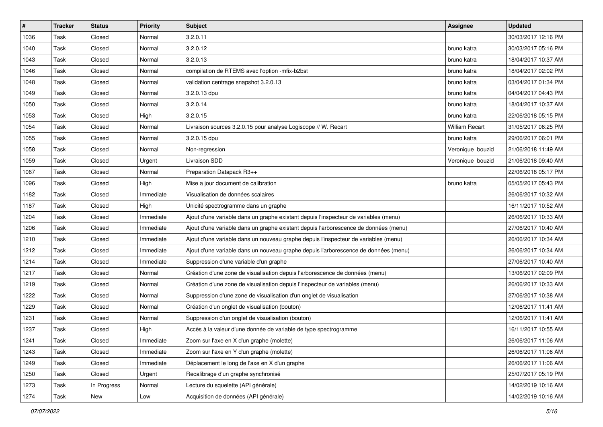| $\vert$ # | <b>Tracker</b> | <b>Status</b> | <b>Priority</b> | <b>Subject</b>                                                                       | <b>Assignee</b>       | <b>Updated</b>      |
|-----------|----------------|---------------|-----------------|--------------------------------------------------------------------------------------|-----------------------|---------------------|
| 1036      | Task           | Closed        | Normal          | 3.2.0.11                                                                             |                       | 30/03/2017 12:16 PM |
| 1040      | Task           | Closed        | Normal          | 3.2.0.12                                                                             | bruno katra           | 30/03/2017 05:16 PM |
| 1043      | Task           | Closed        | Normal          | 3.2.0.13                                                                             | bruno katra           | 18/04/2017 10:37 AM |
| 1046      | Task           | Closed        | Normal          | compilation de RTEMS avec l'option -mfix-b2bst                                       | bruno katra           | 18/04/2017 02:02 PM |
| 1048      | Task           | Closed        | Normal          | validation centrage snapshot 3.2.0.13                                                | bruno katra           | 03/04/2017 01:34 PM |
| 1049      | Task           | Closed        | Normal          | 3.2.0.13 dpu                                                                         | bruno katra           | 04/04/2017 04:43 PM |
| 1050      | Task           | Closed        | Normal          | 3.2.0.14                                                                             | bruno katra           | 18/04/2017 10:37 AM |
| 1053      | Task           | Closed        | High            | 3.2.0.15                                                                             | bruno katra           | 22/06/2018 05:15 PM |
| 1054      | Task           | Closed        | Normal          | Livraison sources 3.2.0.15 pour analyse Logiscope // W. Recart                       | <b>William Recart</b> | 31/05/2017 06:25 PM |
| 1055      | Task           | Closed        | Normal          | 3.2.0.15 dpu                                                                         | bruno katra           | 29/06/2017 06:01 PM |
| 1058      | Task           | Closed        | Normal          | Non-regression                                                                       | Veronique bouzid      | 21/06/2018 11:49 AM |
| 1059      | Task           | Closed        | Urgent          | Livraison SDD                                                                        | Veronique bouzid      | 21/06/2018 09:40 AM |
| 1067      | Task           | Closed        | Normal          | Preparation Datapack R3++                                                            |                       | 22/06/2018 05:17 PM |
| 1096      | Task           | Closed        | High            | Mise a jour document de calibration                                                  | bruno katra           | 05/05/2017 05:43 PM |
| 1182      | Task           | Closed        | Immediate       | Visualisation de données scalaires                                                   |                       | 26/06/2017 10:32 AM |
| 1187      | Task           | Closed        | High            | Unicité spectrogramme dans un graphe                                                 |                       | 16/11/2017 10:52 AM |
| 1204      | Task           | Closed        | Immediate       | Ajout d'une variable dans un graphe existant depuis l'inspecteur de variables (menu) |                       | 26/06/2017 10:33 AM |
| 1206      | Task           | Closed        | Immediate       | Ajout d'une variable dans un graphe existant depuis l'arborescence de données (menu) |                       | 27/06/2017 10:40 AM |
| 1210      | Task           | Closed        | Immediate       | Ajout d'une variable dans un nouveau graphe depuis l'inspecteur de variables (menu)  |                       | 26/06/2017 10:34 AM |
| 1212      | Task           | Closed        | Immediate       | Ajout d'une variable dans un nouveau graphe depuis l'arborescence de données (menu)  |                       | 26/06/2017 10:34 AM |
| 1214      | Task           | Closed        | Immediate       | Suppression d'une variable d'un graphe                                               |                       | 27/06/2017 10:40 AM |
| 1217      | Task           | Closed        | Normal          | Création d'une zone de visualisation depuis l'arborescence de données (menu)         |                       | 13/06/2017 02:09 PM |
| 1219      | Task           | Closed        | Normal          | Création d'une zone de visualisation depuis l'inspecteur de variables (menu)         |                       | 26/06/2017 10:33 AM |
| 1222      | Task           | Closed        | Normal          | Suppression d'une zone de visualisation d'un onglet de visualisation                 |                       | 27/06/2017 10:38 AM |
| 1229      | Task           | Closed        | Normal          | Création d'un onglet de visualisation (bouton)                                       |                       | 12/06/2017 11:41 AM |
| 1231      | Task           | Closed        | Normal          | Suppression d'un onglet de visualisation (bouton)                                    |                       | 12/06/2017 11:41 AM |
| 1237      | Task           | Closed        | High            | Accès à la valeur d'une donnée de variable de type spectrogramme                     |                       | 16/11/2017 10:55 AM |
| 1241      | Task           | Closed        | Immediate       | Zoom sur l'axe en X d'un graphe (molette)                                            |                       | 26/06/2017 11:06 AM |
| 1243      | Task           | Closed        | Immediate       | Zoom sur l'axe en Y d'un graphe (molette)                                            |                       | 26/06/2017 11:06 AM |
| 1249      | Task           | Closed        | Immediate       | Déplacement le long de l'axe en X d'un graphe                                        |                       | 26/06/2017 11:06 AM |
| 1250      | Task           | Closed        | Urgent          | Recalibrage d'un graphe synchronisé                                                  |                       | 25/07/2017 05:19 PM |
| 1273      | Task           | In Progress   | Normal          | Lecture du squelette (API générale)                                                  |                       | 14/02/2019 10:16 AM |
| 1274      | Task           | New           | Low             | Acquisition de données (API générale)                                                |                       | 14/02/2019 10:16 AM |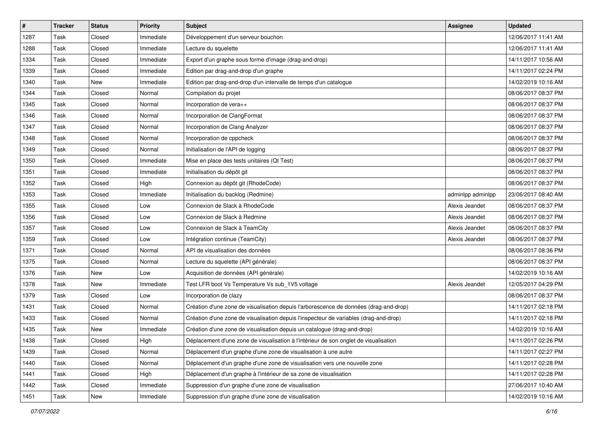| $\pmb{\#}$ | <b>Tracker</b> | <b>Status</b> | <b>Priority</b> | Subject                                                                               | <b>Assignee</b>   | <b>Updated</b>      |
|------------|----------------|---------------|-----------------|---------------------------------------------------------------------------------------|-------------------|---------------------|
| 1287       | Task           | Closed        | Immediate       | Développement d'un serveur bouchon                                                    |                   | 12/06/2017 11:41 AM |
| 1288       | Task           | Closed        | Immediate       | Lecture du squelette                                                                  |                   | 12/06/2017 11:41 AM |
| 1334       | Task           | Closed        | Immediate       | Export d'un graphe sous forme d'image (drag-and-drop)                                 |                   | 14/11/2017 10:56 AM |
| 1339       | Task           | Closed        | Immediate       | Edition par drag-and-drop d'un graphe                                                 |                   | 14/11/2017 02:24 PM |
| 1340       | Task           | New           | Immediate       | Edition par drag-and-drop d'un intervalle de temps d'un catalogue                     |                   | 14/02/2019 10:16 AM |
| 1344       | Task           | Closed        | Normal          | Compilation du projet                                                                 |                   | 08/06/2017 08:37 PM |
| 1345       | Task           | Closed        | Normal          | Incorporation de vera++                                                               |                   | 08/06/2017 08:37 PM |
| 1346       | Task           | Closed        | Normal          | Incorporation de ClangFormat                                                          |                   | 08/06/2017 08:37 PM |
| 1347       | Task           | Closed        | Normal          | Incorporation de Clang Analyzer                                                       |                   | 08/06/2017 08:37 PM |
| 1348       | Task           | Closed        | Normal          | Incorporation de cppcheck                                                             |                   | 08/06/2017 08:37 PM |
| 1349       | Task           | Closed        | Normal          | Initialisation de l'API de logging                                                    |                   | 08/06/2017 08:37 PM |
| 1350       | Task           | Closed        | Immediate       | Mise en place des tests unitaires (Qt Test)                                           |                   | 08/06/2017 08:37 PM |
| 1351       | Task           | Closed        | Immediate       | Initialisation du dépôt git                                                           |                   | 08/06/2017 08:37 PM |
| 1352       | Task           | Closed        | High            | Connexion au dépôt git (RhodeCode)                                                    |                   | 08/06/2017 08:37 PM |
| 1353       | Task           | Closed        | Immediate       | Initialisation du backlog (Redmine)                                                   | adminlpp adminlpp | 23/06/2017 08:40 AM |
| 1355       | Task           | Closed        | Low             | Connexion de Slack à RhodeCode                                                        | Alexis Jeandet    | 08/06/2017 08:37 PM |
| 1356       | Task           | Closed        | Low             | Connexion de Slack à Redmine                                                          | Alexis Jeandet    | 08/06/2017 08:37 PM |
| 1357       | Task           | Closed        | Low             | Connexion de Slack à TeamCity                                                         | Alexis Jeandet    | 08/06/2017 08:37 PM |
| 1359       | Task           | Closed        | Low             | Intégration continue (TeamCity)                                                       | Alexis Jeandet    | 08/06/2017 08:37 PM |
| 1371       | Task           | Closed        | Normal          | API de visualisation des données                                                      |                   | 08/06/2017 08:36 PM |
| 1375       | Task           | Closed        | Normal          | Lecture du squelette (API générale)                                                   |                   | 08/06/2017 08:37 PM |
| 1376       | Task           | New           | Low             | Acquisition de données (API générale)                                                 |                   | 14/02/2019 10:16 AM |
| 1378       | Task           | New           | Immediate       | Test LFR boot Vs Temperature Vs sub_1V5 voltage                                       | Alexis Jeandet    | 12/05/2017 04:29 PM |
| 1379       | Task           | Closed        | Low             | Incorporation de clazy                                                                |                   | 08/06/2017 08:37 PM |
| 1431       | Task           | Closed        | Normal          | Création d'une zone de visualisation depuis l'arborescence de données (drag-and-drop) |                   | 14/11/2017 02:18 PM |
| 1433       | Task           | Closed        | Normal          | Création d'une zone de visualisation depuis l'inspecteur de variables (drag-and-drop) |                   | 14/11/2017 02:18 PM |
| 1435       | Task           | New           | Immediate       | Création d'une zone de visualisation depuis un catalogue (drag-and-drop)              |                   | 14/02/2019 10:16 AM |
| 1438       | Task           | Closed        | High            | Déplacement d'une zone de visualisation à l'intérieur de son onglet de visualisation  |                   | 14/11/2017 02:26 PM |
| 1439       | Task           | Closed        | Normal          | Déplacement d'un graphe d'une zone de visualisation à une autre                       |                   | 14/11/2017 02:27 PM |
| 1440       | Task           | Closed        | Normal          | Déplacement d'un graphe d'une zone de visualisation vers une nouvelle zone            |                   | 14/11/2017 02:28 PM |
| 1441       | Task           | Closed        | High            | Déplacement d'un graphe à l'intérieur de sa zone de visualisation                     |                   | 14/11/2017 02:28 PM |
| 1442       | Task           | Closed        | Immediate       | Suppression d'un graphe d'une zone de visualisation                                   |                   | 27/06/2017 10:40 AM |
| 1451       | Task           | New           | Immediate       | Suppression d'un graphe d'une zone de visualisation                                   |                   | 14/02/2019 10:16 AM |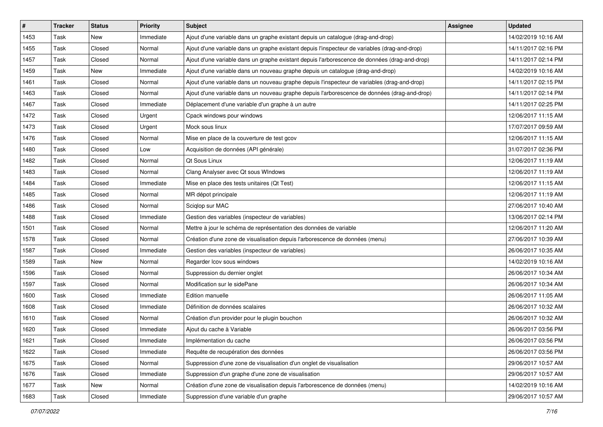| $\vert$ # | <b>Tracker</b> | <b>Status</b> | <b>Priority</b> | <b>Subject</b>                                                                                | <b>Assignee</b> | <b>Updated</b>      |
|-----------|----------------|---------------|-----------------|-----------------------------------------------------------------------------------------------|-----------------|---------------------|
| 1453      | Task           | New           | Immediate       | Ajout d'une variable dans un graphe existant depuis un catalogue (drag-and-drop)              |                 | 14/02/2019 10:16 AM |
| 1455      | Task           | Closed        | Normal          | Ajout d'une variable dans un graphe existant depuis l'inspecteur de variables (drag-and-drop) |                 | 14/11/2017 02:16 PM |
| 1457      | Task           | Closed        | Normal          | Ajout d'une variable dans un graphe existant depuis l'arborescence de données (drag-and-drop) |                 | 14/11/2017 02:14 PM |
| 1459      | Task           | New           | Immediate       | Ajout d'une variable dans un nouveau graphe depuis un catalogue (drag-and-drop)               |                 | 14/02/2019 10:16 AM |
| 1461      | Task           | Closed        | Normal          | Ajout d'une variable dans un nouveau graphe depuis l'inspecteur de variables (drag-and-drop)  |                 | 14/11/2017 02:15 PM |
| 1463      | Task           | Closed        | Normal          | Ajout d'une variable dans un nouveau graphe depuis l'arborescence de données (drag-and-drop)  |                 | 14/11/2017 02:14 PM |
| 1467      | Task           | Closed        | Immediate       | Déplacement d'une variable d'un graphe à un autre                                             |                 | 14/11/2017 02:25 PM |
| 1472      | Task           | Closed        | Urgent          | Cpack windows pour windows                                                                    |                 | 12/06/2017 11:15 AM |
| 1473      | Task           | Closed        | Urgent          | Mock sous linux                                                                               |                 | 17/07/2017 09:59 AM |
| 1476      | Task           | Closed        | Normal          | Mise en place de la couverture de test gcov                                                   |                 | 12/06/2017 11:15 AM |
| 1480      | Task           | Closed        | Low             | Acquisition de données (API générale)                                                         |                 | 31/07/2017 02:36 PM |
| 1482      | Task           | Closed        | Normal          | Qt Sous Linux                                                                                 |                 | 12/06/2017 11:19 AM |
| 1483      | Task           | Closed        | Normal          | Clang Analyser avec Qt sous WIndows                                                           |                 | 12/06/2017 11:19 AM |
| 1484      | Task           | Closed        | Immediate       | Mise en place des tests unitaires (Qt Test)                                                   |                 | 12/06/2017 11:15 AM |
| 1485      | Task           | Closed        | Normal          | MR dépot principale                                                                           |                 | 12/06/2017 11:19 AM |
| 1486      | Task           | Closed        | Normal          | Sciglop sur MAC                                                                               |                 | 27/06/2017 10:40 AM |
| 1488      | Task           | Closed        | Immediate       | Gestion des variables (inspecteur de variables)                                               |                 | 13/06/2017 02:14 PM |
| 1501      | Task           | Closed        | Normal          | Mettre à jour le schéma de représentation des données de variable                             |                 | 12/06/2017 11:20 AM |
| 1578      | Task           | Closed        | Normal          | Création d'une zone de visualisation depuis l'arborescence de données (menu)                  |                 | 27/06/2017 10:39 AM |
| 1587      | Task           | Closed        | Immediate       | Gestion des variables (inspecteur de variables)                                               |                 | 26/06/2017 10:35 AM |
| 1589      | Task           | New           | Normal          | Regarder Icov sous windows                                                                    |                 | 14/02/2019 10:16 AM |
| 1596      | Task           | Closed        | Normal          | Suppression du dernier onglet                                                                 |                 | 26/06/2017 10:34 AM |
| 1597      | Task           | Closed        | Normal          | Modification sur le sidePane                                                                  |                 | 26/06/2017 10:34 AM |
| 1600      | Task           | Closed        | Immediate       | Edition manuelle                                                                              |                 | 26/06/2017 11:05 AM |
| 1608      | Task           | Closed        | Immediate       | Définition de données scalaires                                                               |                 | 26/06/2017 10:32 AM |
| 1610      | Task           | Closed        | Normal          | Création d'un provider pour le plugin bouchon                                                 |                 | 26/06/2017 10:32 AM |
| 1620      | Task           | Closed        | Immediate       | Ajout du cache à Variable                                                                     |                 | 26/06/2017 03:56 PM |
| 1621      | Task           | Closed        | Immediate       | Implémentation du cache                                                                       |                 | 26/06/2017 03:56 PM |
| 1622      | Task           | Closed        | Immediate       | Requête de recupération des données                                                           |                 | 26/06/2017 03:56 PM |
| 1675      | Task           | Closed        | Normal          | Suppression d'une zone de visualisation d'un onglet de visualisation                          |                 | 29/06/2017 10:57 AM |
| 1676      | Task           | Closed        | Immediate       | Suppression d'un graphe d'une zone de visualisation                                           |                 | 29/06/2017 10:57 AM |
| 1677      | Task           | New           | Normal          | Création d'une zone de visualisation depuis l'arborescence de données (menu)                  |                 | 14/02/2019 10:16 AM |
| 1683      | Task           | Closed        | Immediate       | Suppression d'une variable d'un graphe                                                        |                 | 29/06/2017 10:57 AM |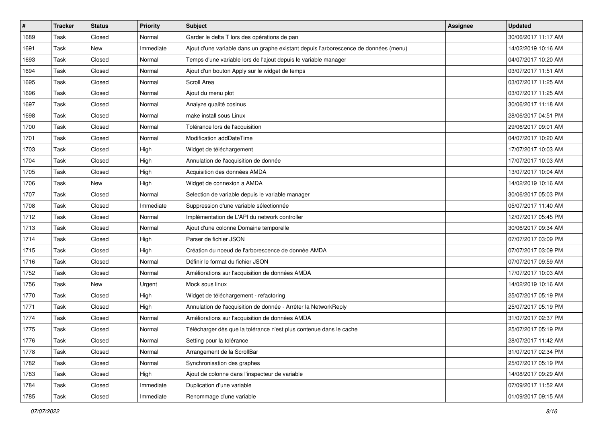| $\vert$ # | <b>Tracker</b> | <b>Status</b> | <b>Priority</b> | <b>Subject</b>                                                                       | <b>Assignee</b> | <b>Updated</b>      |
|-----------|----------------|---------------|-----------------|--------------------------------------------------------------------------------------|-----------------|---------------------|
| 1689      | Task           | Closed        | Normal          | Garder le delta T lors des opérations de pan                                         |                 | 30/06/2017 11:17 AM |
| 1691      | Task           | <b>New</b>    | Immediate       | Ajout d'une variable dans un graphe existant depuis l'arborescence de données (menu) |                 | 14/02/2019 10:16 AM |
| 1693      | Task           | Closed        | Normal          | Temps d'une variable lors de l'ajout depuis le variable manager                      |                 | 04/07/2017 10:20 AM |
| 1694      | Task           | Closed        | Normal          | Ajout d'un bouton Apply sur le widget de temps                                       |                 | 03/07/2017 11:51 AM |
| 1695      | Task           | Closed        | Normal          | Scroll Area                                                                          |                 | 03/07/2017 11:25 AM |
| 1696      | Task           | Closed        | Normal          | Ajout du menu plot                                                                   |                 | 03/07/2017 11:25 AM |
| 1697      | Task           | Closed        | Normal          | Analyze qualité cosinus                                                              |                 | 30/06/2017 11:18 AM |
| 1698      | Task           | Closed        | Normal          | make install sous Linux                                                              |                 | 28/06/2017 04:51 PM |
| 1700      | Task           | Closed        | Normal          | Tolérance lors de l'acquisition                                                      |                 | 29/06/2017 09:01 AM |
| 1701      | Task           | Closed        | Normal          | Modification addDateTime                                                             |                 | 04/07/2017 10:20 AM |
| 1703      | Task           | Closed        | High            | Widget de téléchargement                                                             |                 | 17/07/2017 10:03 AM |
| 1704      | Task           | Closed        | High            | Annulation de l'acquisition de donnée                                                |                 | 17/07/2017 10:03 AM |
| 1705      | Task           | Closed        | High            | Acquisition des données AMDA                                                         |                 | 13/07/2017 10:04 AM |
| 1706      | Task           | New           | High            | Widget de connexion a AMDA                                                           |                 | 14/02/2019 10:16 AM |
| 1707      | Task           | Closed        | Normal          | Selection de variable depuis le variable manager                                     |                 | 30/06/2017 05:03 PM |
| 1708      | Task           | Closed        | Immediate       | Suppression d'une variable sélectionnée                                              |                 | 05/07/2017 11:40 AM |
| 1712      | Task           | Closed        | Normal          | Implémentation de L'API du network controller                                        |                 | 12/07/2017 05:45 PM |
| 1713      | Task           | Closed        | Normal          | Ajout d'une colonne Domaine temporelle                                               |                 | 30/06/2017 09:34 AM |
| 1714      | Task           | Closed        | High            | Parser de fichier JSON                                                               |                 | 07/07/2017 03:09 PM |
| 1715      | Task           | Closed        | High            | Création du noeud de l'arborescence de donnée AMDA                                   |                 | 07/07/2017 03:09 PM |
| 1716      | Task           | Closed        | Normal          | Définir le format du fichier JSON                                                    |                 | 07/07/2017 09:59 AM |
| 1752      | Task           | Closed        | Normal          | Améliorations sur l'acquisition de données AMDA                                      |                 | 17/07/2017 10:03 AM |
| 1756      | Task           | New           | Urgent          | Mock sous linux                                                                      |                 | 14/02/2019 10:16 AM |
| 1770      | Task           | Closed        | High            | Widget de téléchargement - refactoring                                               |                 | 25/07/2017 05:19 PM |
| 1771      | Task           | Closed        | High            | Annulation de l'acquisition de donnée - Arrêter la NetworkReply                      |                 | 25/07/2017 05:19 PM |
| 1774      | Task           | Closed        | Normal          | Améliorations sur l'acquisition de données AMDA                                      |                 | 31/07/2017 02:37 PM |
| 1775      | Task           | Closed        | Normal          | Télécharger dès que la tolérance n'est plus contenue dans le cache                   |                 | 25/07/2017 05:19 PM |
| 1776      | Task           | Closed        | Normal          | Setting pour la tolérance                                                            |                 | 28/07/2017 11:42 AM |
| 1778      | Task           | Closed        | Normal          | Arrangement de la ScrollBar                                                          |                 | 31/07/2017 02:34 PM |
| 1782      | Task           | Closed        | Normal          | Synchronisation des graphes                                                          |                 | 25/07/2017 05:19 PM |
| 1783      | Task           | Closed        | High            | Ajout de colonne dans l'inspecteur de variable                                       |                 | 14/08/2017 09:29 AM |
| 1784      | Task           | Closed        | Immediate       | Duplication d'une variable                                                           |                 | 07/09/2017 11:52 AM |
| 1785      | Task           | Closed        | Immediate       | Renommage d'une variable                                                             |                 | 01/09/2017 09:15 AM |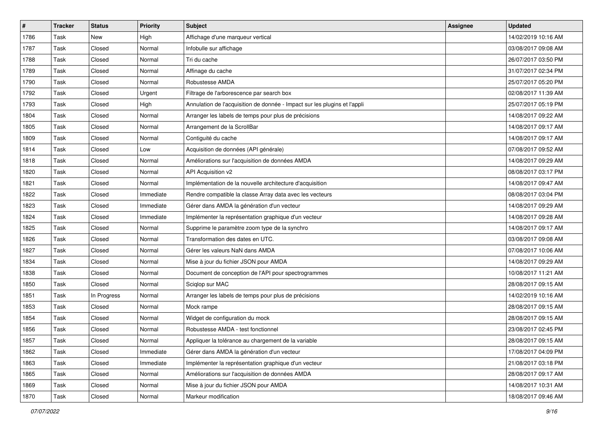| $\vert$ # | <b>Tracker</b> | <b>Status</b> | <b>Priority</b> | <b>Subject</b>                                                            | <b>Assignee</b> | <b>Updated</b>      |
|-----------|----------------|---------------|-----------------|---------------------------------------------------------------------------|-----------------|---------------------|
| 1786      | Task           | New           | High            | Affichage d'une marqueur vertical                                         |                 | 14/02/2019 10:16 AM |
| 1787      | Task           | Closed        | Normal          | Infobulle sur affichage                                                   |                 | 03/08/2017 09:08 AM |
| 1788      | Task           | Closed        | Normal          | Tri du cache                                                              |                 | 26/07/2017 03:50 PM |
| 1789      | Task           | Closed        | Normal          | Affinage du cache                                                         |                 | 31/07/2017 02:34 PM |
| 1790      | Task           | Closed        | Normal          | Robustesse AMDA                                                           |                 | 25/07/2017 05:20 PM |
| 1792      | Task           | Closed        | Urgent          | Filtrage de l'arborescence par search box                                 |                 | 02/08/2017 11:39 AM |
| 1793      | Task           | Closed        | High            | Annulation de l'acquisition de donnée - Impact sur les plugins et l'appli |                 | 25/07/2017 05:19 PM |
| 1804      | Task           | Closed        | Normal          | Arranger les labels de temps pour plus de précisions                      |                 | 14/08/2017 09:22 AM |
| 1805      | Task           | Closed        | Normal          | Arrangement de la ScrollBar                                               |                 | 14/08/2017 09:17 AM |
| 1809      | Task           | Closed        | Normal          | Contiguité du cache                                                       |                 | 14/08/2017 09:17 AM |
| 1814      | Task           | Closed        | Low             | Acquisition de données (API générale)                                     |                 | 07/08/2017 09:52 AM |
| 1818      | Task           | Closed        | Normal          | Améliorations sur l'acquisition de données AMDA                           |                 | 14/08/2017 09:29 AM |
| 1820      | Task           | Closed        | Normal          | API Acquisition v2                                                        |                 | 08/08/2017 03:17 PM |
| 1821      | Task           | Closed        | Normal          | Implémentation de la nouvelle architecture d'acquisition                  |                 | 14/08/2017 09:47 AM |
| 1822      | Task           | Closed        | Immediate       | Rendre compatible la classe Array data avec les vecteurs                  |                 | 08/08/2017 03:04 PM |
| 1823      | Task           | Closed        | Immediate       | Gérer dans AMDA la génération d'un vecteur                                |                 | 14/08/2017 09:29 AM |
| 1824      | Task           | Closed        | Immediate       | Implémenter la représentation graphique d'un vecteur                      |                 | 14/08/2017 09:28 AM |
| 1825      | Task           | Closed        | Normal          | Supprime le paramètre zoom type de la synchro                             |                 | 14/08/2017 09:17 AM |
| 1826      | Task           | Closed        | Normal          | Transformation des dates en UTC.                                          |                 | 03/08/2017 09:08 AM |
| 1827      | Task           | Closed        | Normal          | Gérer les valeurs NaN dans AMDA                                           |                 | 07/08/2017 10:06 AM |
| 1834      | Task           | Closed        | Normal          | Mise à jour du fichier JSON pour AMDA                                     |                 | 14/08/2017 09:29 AM |
| 1838      | Task           | Closed        | Normal          | Document de conception de l'API pour spectrogrammes                       |                 | 10/08/2017 11:21 AM |
| 1850      | Task           | Closed        | Normal          | Sciqlop sur MAC                                                           |                 | 28/08/2017 09:15 AM |
| 1851      | Task           | In Progress   | Normal          | Arranger les labels de temps pour plus de précisions                      |                 | 14/02/2019 10:16 AM |
| 1853      | Task           | Closed        | Normal          | Mock rampe                                                                |                 | 28/08/2017 09:15 AM |
| 1854      | Task           | Closed        | Normal          | Widget de configuration du mock                                           |                 | 28/08/2017 09:15 AM |
| 1856      | Task           | Closed        | Normal          | Robustesse AMDA - test fonctionnel                                        |                 | 23/08/2017 02:45 PM |
| 1857      | Task           | Closed        | Normal          | Appliquer la tolérance au chargement de la variable                       |                 | 28/08/2017 09:15 AM |
| 1862      | Task           | Closed        | Immediate       | Gérer dans AMDA la génération d'un vecteur                                |                 | 17/08/2017 04:09 PM |
| 1863      | Task           | Closed        | Immediate       | Implémenter la représentation graphique d'un vecteur                      |                 | 21/08/2017 03:18 PM |
| 1865      | Task           | Closed        | Normal          | Améliorations sur l'acquisition de données AMDA                           |                 | 28/08/2017 09:17 AM |
| 1869      | Task           | Closed        | Normal          | Mise à jour du fichier JSON pour AMDA                                     |                 | 14/08/2017 10:31 AM |
| 1870      | Task           | Closed        | Normal          | Markeur modification                                                      |                 | 18/08/2017 09:46 AM |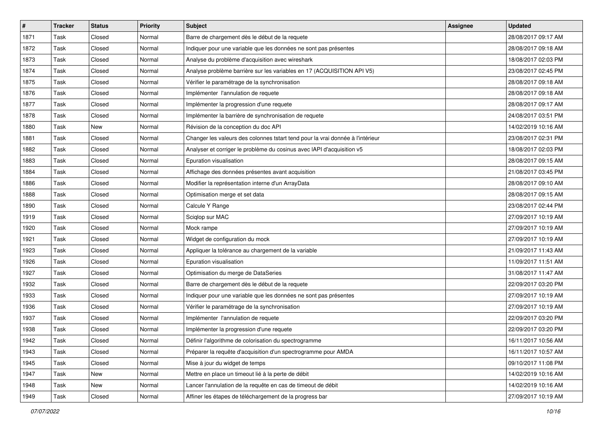| #    | <b>Tracker</b> | <b>Status</b> | <b>Priority</b> | <b>Subject</b>                                                                 | <b>Assignee</b> | <b>Updated</b>      |
|------|----------------|---------------|-----------------|--------------------------------------------------------------------------------|-----------------|---------------------|
| 1871 | Task           | Closed        | Normal          | Barre de chargement dès le début de la requete                                 |                 | 28/08/2017 09:17 AM |
| 1872 | Task           | Closed        | Normal          | Indiquer pour une variable que les données ne sont pas présentes               |                 | 28/08/2017 09:18 AM |
| 1873 | Task           | Closed        | Normal          | Analyse du problème d'acquisition avec wireshark                               |                 | 18/08/2017 02:03 PM |
| 1874 | Task           | Closed        | Normal          | Analyse problème barrière sur les variables en 17 (ACQUISITION API V5)         |                 | 23/08/2017 02:45 PM |
| 1875 | Task           | Closed        | Normal          | Vérifier le paramétrage de la synchronisation                                  |                 | 28/08/2017 09:18 AM |
| 1876 | Task           | Closed        | Normal          | Implémenter l'annulation de requete                                            |                 | 28/08/2017 09:18 AM |
| 1877 | Task           | Closed        | Normal          | Implémenter la progression d'une requete                                       |                 | 28/08/2017 09:17 AM |
| 1878 | Task           | Closed        | Normal          | Implémenter la barrière de synchronisation de requete                          |                 | 24/08/2017 03:51 PM |
| 1880 | Task           | New           | Normal          | Révision de la conception du doc API                                           |                 | 14/02/2019 10:16 AM |
| 1881 | Task           | Closed        | Normal          | Changer les valeurs des colonnes tstart tend pour la vrai donnée à l'intérieur |                 | 23/08/2017 02:31 PM |
| 1882 | Task           | Closed        | Normal          | Analyser et corriger le problème du cosinus avec IAPI d'acquisition v5         |                 | 18/08/2017 02:03 PM |
| 1883 | Task           | Closed        | Normal          | Epuration visualisation                                                        |                 | 28/08/2017 09:15 AM |
| 1884 | Task           | Closed        | Normal          | Affichage des données présentes avant acquisition                              |                 | 21/08/2017 03:45 PM |
| 1886 | Task           | Closed        | Normal          | Modifier la représentation interne d'un ArrayData                              |                 | 28/08/2017 09:10 AM |
| 1888 | Task           | Closed        | Normal          | Optimisation merge et set data                                                 |                 | 28/08/2017 09:15 AM |
| 1890 | Task           | Closed        | Normal          | Calcule Y Range                                                                |                 | 23/08/2017 02:44 PM |
| 1919 | Task           | Closed        | Normal          | Sciqlop sur MAC                                                                |                 | 27/09/2017 10:19 AM |
| 1920 | Task           | Closed        | Normal          | Mock rampe                                                                     |                 | 27/09/2017 10:19 AM |
| 1921 | Task           | Closed        | Normal          | Widget de configuration du mock                                                |                 | 27/09/2017 10:19 AM |
| 1923 | Task           | Closed        | Normal          | Appliquer la tolérance au chargement de la variable                            |                 | 21/09/2017 11:43 AM |
| 1926 | Task           | Closed        | Normal          | Epuration visualisation                                                        |                 | 11/09/2017 11:51 AM |
| 1927 | Task           | Closed        | Normal          | Optimisation du merge de DataSeries                                            |                 | 31/08/2017 11:47 AM |
| 1932 | Task           | Closed        | Normal          | Barre de chargement dès le début de la requete                                 |                 | 22/09/2017 03:20 PM |
| 1933 | Task           | Closed        | Normal          | Indiquer pour une variable que les données ne sont pas présentes               |                 | 27/09/2017 10:19 AM |
| 1936 | Task           | Closed        | Normal          | Vérifier le paramétrage de la synchronisation                                  |                 | 27/09/2017 10:19 AM |
| 1937 | Task           | Closed        | Normal          | Implémenter l'annulation de requete                                            |                 | 22/09/2017 03:20 PM |
| 1938 | Task           | Closed        | Normal          | Implémenter la progression d'une requete                                       |                 | 22/09/2017 03:20 PM |
| 1942 | Task           | Closed        | Normal          | Définir l'algorithme de colorisation du spectrogramme                          |                 | 16/11/2017 10:56 AM |
| 1943 | Task           | Closed        | Normal          | Préparer la requête d'acquisition d'un spectrogramme pour AMDA                 |                 | 16/11/2017 10:57 AM |
| 1945 | Task           | Closed        | Normal          | Mise à jour du widget de temps                                                 |                 | 09/10/2017 11:08 PM |
| 1947 | Task           | New           | Normal          | Mettre en place un timeout lié à la perte de débit                             |                 | 14/02/2019 10:16 AM |
| 1948 | Task           | New           | Normal          | Lancer l'annulation de la requête en cas de timeout de débit                   |                 | 14/02/2019 10:16 AM |
| 1949 | Task           | Closed        | Normal          | Affiner les étapes de téléchargement de la progress bar                        |                 | 27/09/2017 10:19 AM |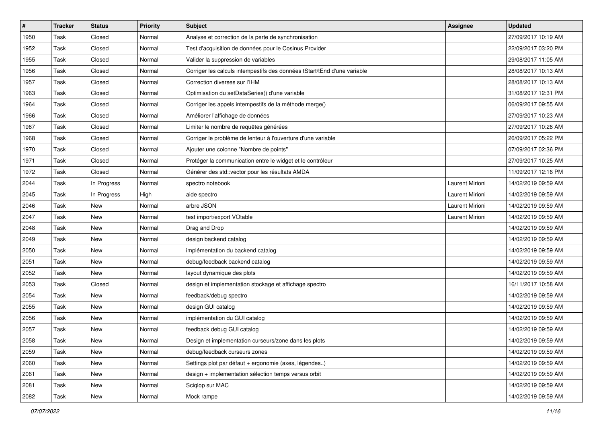| $\sharp$ | <b>Tracker</b> | <b>Status</b> | <b>Priority</b> | <b>Subject</b>                                                           | Assignee        | <b>Updated</b>      |
|----------|----------------|---------------|-----------------|--------------------------------------------------------------------------|-----------------|---------------------|
| 1950     | Task           | Closed        | Normal          | Analyse et correction de la perte de synchronisation                     |                 | 27/09/2017 10:19 AM |
| 1952     | Task           | Closed        | Normal          | Test d'acquisition de données pour le Cosinus Provider                   |                 | 22/09/2017 03:20 PM |
| 1955     | Task           | Closed        | Normal          | Valider la suppression de variables                                      |                 | 29/08/2017 11:05 AM |
| 1956     | Task           | Closed        | Normal          | Corriger les calculs intempestifs des données tStart/tEnd d'une variable |                 | 28/08/2017 10:13 AM |
| 1957     | Task           | Closed        | Normal          | Correction diverses sur l'IHM                                            |                 | 28/08/2017 10:13 AM |
| 1963     | Task           | Closed        | Normal          | Optimisation du setDataSeries() d'une variable                           |                 | 31/08/2017 12:31 PM |
| 1964     | Task           | Closed        | Normal          | Corriger les appels intempestifs de la méthode merge()                   |                 | 06/09/2017 09:55 AM |
| 1966     | Task           | Closed        | Normal          | Améliorer l'affichage de données                                         |                 | 27/09/2017 10:23 AM |
| 1967     | Task           | Closed        | Normal          | Limiter le nombre de requêtes générées                                   |                 | 27/09/2017 10:26 AM |
| 1968     | Task           | Closed        | Normal          | Corriger le problème de lenteur à l'ouverture d'une variable             |                 | 26/09/2017 05:22 PM |
| 1970     | Task           | Closed        | Normal          | Ajouter une colonne "Nombre de points"                                   |                 | 07/09/2017 02:36 PM |
| 1971     | Task           | Closed        | Normal          | Protéger la communication entre le widget et le contrôleur               |                 | 27/09/2017 10:25 AM |
| 1972     | Task           | Closed        | Normal          | Générer des std::vector pour les résultats AMDA                          |                 | 11/09/2017 12:16 PM |
| 2044     | Task           | In Progress   | Normal          | spectro notebook                                                         | Laurent Mirioni | 14/02/2019 09:59 AM |
| 2045     | Task           | In Progress   | High            | aide spectro                                                             | Laurent Mirioni | 14/02/2019 09:59 AM |
| 2046     | Task           | New           | Normal          | arbre JSON                                                               | Laurent Mirioni | 14/02/2019 09:59 AM |
| 2047     | Task           | <b>New</b>    | Normal          | test import/export VOtable                                               | Laurent Mirioni | 14/02/2019 09:59 AM |
| 2048     | Task           | New           | Normal          | Drag and Drop                                                            |                 | 14/02/2019 09:59 AM |
| 2049     | Task           | <b>New</b>    | Normal          | design backend catalog                                                   |                 | 14/02/2019 09:59 AM |
| 2050     | Task           | <b>New</b>    | Normal          | implémentation du backend catalog                                        |                 | 14/02/2019 09:59 AM |
| 2051     | Task           | New           | Normal          | debug/feedback backend catalog                                           |                 | 14/02/2019 09:59 AM |
| 2052     | Task           | New           | Normal          | layout dynamique des plots                                               |                 | 14/02/2019 09:59 AM |
| 2053     | Task           | Closed        | Normal          | design et implementation stockage et affichage spectro                   |                 | 16/11/2017 10:58 AM |
| 2054     | Task           | New           | Normal          | feedback/debug spectro                                                   |                 | 14/02/2019 09:59 AM |
| 2055     | Task           | New           | Normal          | design GUI catalog                                                       |                 | 14/02/2019 09:59 AM |
| 2056     | Task           | New           | Normal          | implémentation du GUI catalog                                            |                 | 14/02/2019 09:59 AM |
| 2057     | Task           | New           | Normal          | feedback debug GUI catalog                                               |                 | 14/02/2019 09:59 AM |
| 2058     | Task           | New           | Normal          | Design et implementation curseurs/zone dans les plots                    |                 | 14/02/2019 09:59 AM |
| 2059     | Task           | New           | Normal          | debug/feedback curseurs zones                                            |                 | 14/02/2019 09:59 AM |
| 2060     | Task           | New           | Normal          | Settings plot par défaut + ergonomie (axes, légendes)                    |                 | 14/02/2019 09:59 AM |
| 2061     | Task           | New           | Normal          | design + implementation sélection temps versus orbit                     |                 | 14/02/2019 09:59 AM |
| 2081     | Task           | New           | Normal          | Sciglop sur MAC                                                          |                 | 14/02/2019 09:59 AM |
| 2082     | Task           | New           | Normal          | Mock rampe                                                               |                 | 14/02/2019 09:59 AM |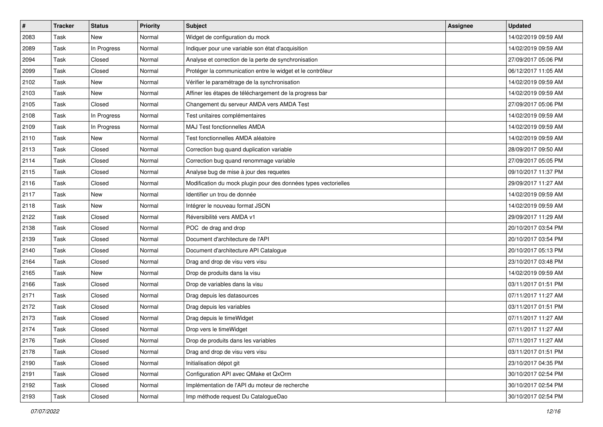| $\sharp$ | <b>Tracker</b> | <b>Status</b> | <b>Priority</b> | <b>Subject</b>                                                  | Assignee | <b>Updated</b>      |
|----------|----------------|---------------|-----------------|-----------------------------------------------------------------|----------|---------------------|
| 2083     | Task           | <b>New</b>    | Normal          | Widget de configuration du mock                                 |          | 14/02/2019 09:59 AM |
| 2089     | Task           | In Progress   | Normal          | Indiquer pour une variable son état d'acquisition               |          | 14/02/2019 09:59 AM |
| 2094     | Task           | Closed        | Normal          | Analyse et correction de la perte de synchronisation            |          | 27/09/2017 05:06 PM |
| 2099     | Task           | Closed        | Normal          | Protéger la communication entre le widget et le contrôleur      |          | 06/12/2017 11:05 AM |
| 2102     | Task           | <b>New</b>    | Normal          | Vérifier le paramétrage de la synchronisation                   |          | 14/02/2019 09:59 AM |
| 2103     | Task           | <b>New</b>    | Normal          | Affiner les étapes de téléchargement de la progress bar         |          | 14/02/2019 09:59 AM |
| 2105     | Task           | Closed        | Normal          | Changement du serveur AMDA vers AMDA Test                       |          | 27/09/2017 05:06 PM |
| 2108     | Task           | In Progress   | Normal          | Test unitaires complémentaires                                  |          | 14/02/2019 09:59 AM |
| 2109     | Task           | In Progress   | Normal          | MAJ Test fonctionnelles AMDA                                    |          | 14/02/2019 09:59 AM |
| 2110     | Task           | <b>New</b>    | Normal          | Test fonctionnelles AMDA aléatoire                              |          | 14/02/2019 09:59 AM |
| 2113     | Task           | Closed        | Normal          | Correction bug quand duplication variable                       |          | 28/09/2017 09:50 AM |
| 2114     | Task           | Closed        | Normal          | Correction bug quand renommage variable                         |          | 27/09/2017 05:05 PM |
| 2115     | Task           | Closed        | Normal          | Analyse bug de mise à jour des requetes                         |          | 09/10/2017 11:37 PM |
| 2116     | Task           | Closed        | Normal          | Modification du mock plugin pour des données types vectorielles |          | 29/09/2017 11:27 AM |
| 2117     | Task           | <b>New</b>    | Normal          | Identifier un trou de donnée                                    |          | 14/02/2019 09:59 AM |
| 2118     | Task           | New           | Normal          | Intégrer le nouveau format JSON                                 |          | 14/02/2019 09:59 AM |
| 2122     | Task           | Closed        | Normal          | Réversibilité vers AMDA v1                                      |          | 29/09/2017 11:29 AM |
| 2138     | Task           | Closed        | Normal          | POC de drag and drop                                            |          | 20/10/2017 03:54 PM |
| 2139     | Task           | Closed        | Normal          | Document d'architecture de l'API                                |          | 20/10/2017 03:54 PM |
| 2140     | Task           | Closed        | Normal          | Document d'architecture API Catalogue                           |          | 20/10/2017 05:13 PM |
| 2164     | Task           | Closed        | Normal          | Drag and drop de visu vers visu                                 |          | 23/10/2017 03:48 PM |
| 2165     | Task           | New           | Normal          | Drop de produits dans la visu                                   |          | 14/02/2019 09:59 AM |
| 2166     | Task           | Closed        | Normal          | Drop de variables dans la visu                                  |          | 03/11/2017 01:51 PM |
| 2171     | Task           | Closed        | Normal          | Drag depuis les datasources                                     |          | 07/11/2017 11:27 AM |
| 2172     | Task           | Closed        | Normal          | Drag depuis les variables                                       |          | 03/11/2017 01:51 PM |
| 2173     | Task           | Closed        | Normal          | Drag depuis le timeWidget                                       |          | 07/11/2017 11:27 AM |
| 2174     | Task           | Closed        | Normal          | Drop vers le timeWidget                                         |          | 07/11/2017 11:27 AM |
| 2176     | Task           | Closed        | Normal          | Drop de produits dans les variables                             |          | 07/11/2017 11:27 AM |
| 2178     | Task           | Closed        | Normal          | Drag and drop de visu vers visu                                 |          | 03/11/2017 01:51 PM |
| 2190     | Task           | Closed        | Normal          | Initialisation dépot git                                        |          | 23/10/2017 04:35 PM |
| 2191     | Task           | Closed        | Normal          | Configuration API avec QMake et QxOrm                           |          | 30/10/2017 02:54 PM |
| 2192     | Task           | Closed        | Normal          | Implémentation de l'API du moteur de recherche                  |          | 30/10/2017 02:54 PM |
| 2193     | Task           | Closed        | Normal          | Imp méthode request Du CatalogueDao                             |          | 30/10/2017 02:54 PM |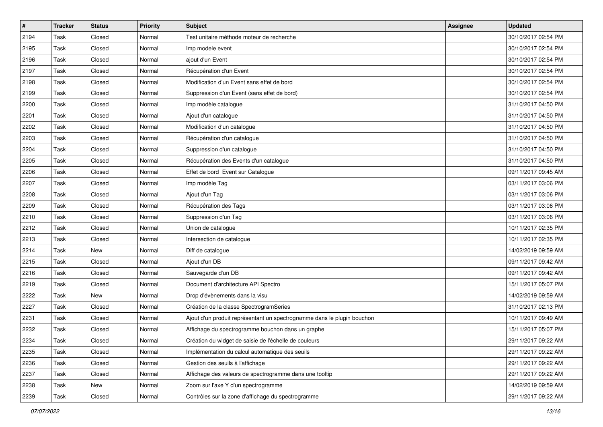| $\pmb{\#}$ | <b>Tracker</b> | <b>Status</b> | <b>Priority</b> | Subject                                                                 | Assignee | <b>Updated</b>      |
|------------|----------------|---------------|-----------------|-------------------------------------------------------------------------|----------|---------------------|
| 2194       | Task           | Closed        | Normal          | Test unitaire méthode moteur de recherche                               |          | 30/10/2017 02:54 PM |
| 2195       | Task           | Closed        | Normal          | Imp modele event                                                        |          | 30/10/2017 02:54 PM |
| 2196       | Task           | Closed        | Normal          | ajout d'un Event                                                        |          | 30/10/2017 02:54 PM |
| 2197       | Task           | Closed        | Normal          | Récupération d'un Event                                                 |          | 30/10/2017 02:54 PM |
| 2198       | Task           | Closed        | Normal          | Modification d'un Event sans effet de bord                              |          | 30/10/2017 02:54 PM |
| 2199       | Task           | Closed        | Normal          | Suppression d'un Event (sans effet de bord)                             |          | 30/10/2017 02:54 PM |
| 2200       | Task           | Closed        | Normal          | Imp modèle catalogue                                                    |          | 31/10/2017 04:50 PM |
| 2201       | Task           | Closed        | Normal          | Ajout d'un catalogue                                                    |          | 31/10/2017 04:50 PM |
| 2202       | Task           | Closed        | Normal          | Modification d'un catalogue                                             |          | 31/10/2017 04:50 PM |
| 2203       | Task           | Closed        | Normal          | Récupération d'un catalogue                                             |          | 31/10/2017 04:50 PM |
| 2204       | Task           | Closed        | Normal          | Suppression d'un catalogue                                              |          | 31/10/2017 04:50 PM |
| 2205       | Task           | Closed        | Normal          | Récupération des Events d'un catalogue                                  |          | 31/10/2017 04:50 PM |
| 2206       | Task           | Closed        | Normal          | Effet de bord Event sur Catalogue                                       |          | 09/11/2017 09:45 AM |
| 2207       | Task           | Closed        | Normal          | Imp modèle Tag                                                          |          | 03/11/2017 03:06 PM |
| 2208       | Task           | Closed        | Normal          | Ajout d'un Tag                                                          |          | 03/11/2017 03:06 PM |
| 2209       | Task           | Closed        | Normal          | Récupération des Tags                                                   |          | 03/11/2017 03:06 PM |
| 2210       | Task           | Closed        | Normal          | Suppression d'un Tag                                                    |          | 03/11/2017 03:06 PM |
| 2212       | Task           | Closed        | Normal          | Union de catalogue                                                      |          | 10/11/2017 02:35 PM |
| 2213       | Task           | Closed        | Normal          | Intersection de catalogue                                               |          | 10/11/2017 02:35 PM |
| 2214       | Task           | <b>New</b>    | Normal          | Diff de catalogue                                                       |          | 14/02/2019 09:59 AM |
| 2215       | Task           | Closed        | Normal          | Ajout d'un DB                                                           |          | 09/11/2017 09:42 AM |
| 2216       | Task           | Closed        | Normal          | Sauvegarde d'un DB                                                      |          | 09/11/2017 09:42 AM |
| 2219       | Task           | Closed        | Normal          | Document d'architecture API Spectro                                     |          | 15/11/2017 05:07 PM |
| 2222       | Task           | New           | Normal          | Drop d'évènements dans la visu                                          |          | 14/02/2019 09:59 AM |
| 2227       | Task           | Closed        | Normal          | Création de la classe SpectrogramSeries                                 |          | 31/10/2017 02:13 PM |
| 2231       | Task           | Closed        | Normal          | Ajout d'un produit représentant un spectrogramme dans le plugin bouchon |          | 10/11/2017 09:49 AM |
| 2232       | Task           | Closed        | Normal          | Affichage du spectrogramme bouchon dans un graphe                       |          | 15/11/2017 05:07 PM |
| 2234       | Task           | Closed        | Normal          | Création du widget de saisie de l'échelle de couleurs                   |          | 29/11/2017 09:22 AM |
| 2235       | Task           | Closed        | Normal          | Implémentation du calcul automatique des seuils                         |          | 29/11/2017 09:22 AM |
| 2236       | Task           | Closed        | Normal          | Gestion des seuils à l'affichage                                        |          | 29/11/2017 09:22 AM |
| 2237       | Task           | Closed        | Normal          | Affichage des valeurs de spectrogramme dans une tooltip                 |          | 29/11/2017 09:22 AM |
| 2238       | Task           | New           | Normal          | Zoom sur l'axe Y d'un spectrogramme                                     |          | 14/02/2019 09:59 AM |
| 2239       | Task           | Closed        | Normal          | Contrôles sur la zone d'affichage du spectrogramme                      |          | 29/11/2017 09:22 AM |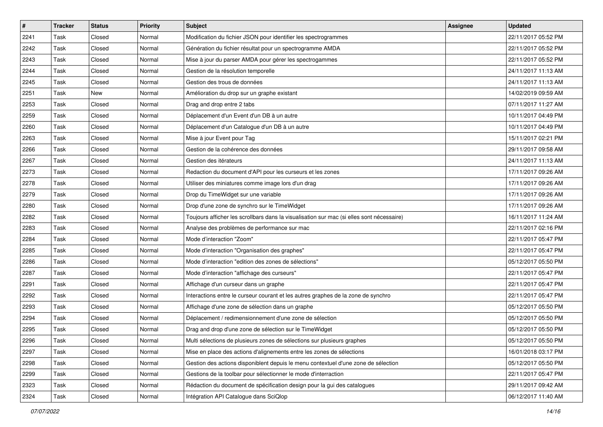| $\sharp$ | <b>Tracker</b> | <b>Status</b> | <b>Priority</b> | Subject                                                                                   | Assignee | <b>Updated</b>      |
|----------|----------------|---------------|-----------------|-------------------------------------------------------------------------------------------|----------|---------------------|
| 2241     | Task           | Closed        | Normal          | Modification du fichier JSON pour identifier les spectrogrammes                           |          | 22/11/2017 05:52 PM |
| 2242     | Task           | Closed        | Normal          | Génération du fichier résultat pour un spectrogramme AMDA                                 |          | 22/11/2017 05:52 PM |
| 2243     | Task           | Closed        | Normal          | Mise à jour du parser AMDA pour gérer les spectrogammes                                   |          | 22/11/2017 05:52 PM |
| 2244     | Task           | Closed        | Normal          | Gestion de la résolution temporelle                                                       |          | 24/11/2017 11:13 AM |
| 2245     | Task           | Closed        | Normal          | Gestion des trous de données                                                              |          | 24/11/2017 11:13 AM |
| 2251     | Task           | New           | Normal          | Amélioration du drop sur un graphe existant                                               |          | 14/02/2019 09:59 AM |
| 2253     | Task           | Closed        | Normal          | Drag and drop entre 2 tabs                                                                |          | 07/11/2017 11:27 AM |
| 2259     | Task           | Closed        | Normal          | Déplacement d'un Event d'un DB à un autre                                                 |          | 10/11/2017 04:49 PM |
| 2260     | Task           | Closed        | Normal          | Déplacement d'un Catalogue d'un DB à un autre                                             |          | 10/11/2017 04:49 PM |
| 2263     | Task           | Closed        | Normal          | Mise à jour Event pour Tag                                                                |          | 15/11/2017 02:21 PM |
| 2266     | Task           | Closed        | Normal          | Gestion de la cohérence des données                                                       |          | 29/11/2017 09:58 AM |
| 2267     | Task           | Closed        | Normal          | Gestion des itérateurs                                                                    |          | 24/11/2017 11:13 AM |
| 2273     | Task           | Closed        | Normal          | Redaction du document d'API pour les curseurs et les zones                                |          | 17/11/2017 09:26 AM |
| 2278     | Task           | Closed        | Normal          | Utiliser des miniatures comme image lors d'un drag                                        |          | 17/11/2017 09:26 AM |
| 2279     | Task           | Closed        | Normal          | Drop du TimeWidget sur une variable                                                       |          | 17/11/2017 09:26 AM |
| 2280     | Task           | Closed        | Normal          | Drop d'une zone de synchro sur le TimeWidget                                              |          | 17/11/2017 09:26 AM |
| 2282     | Task           | Closed        | Normal          | Toujours afficher les scrollbars dans la visualisation sur mac (si elles sont nécessaire) |          | 16/11/2017 11:24 AM |
| 2283     | Task           | Closed        | Normal          | Analyse des problèmes de performance sur mac                                              |          | 22/11/2017 02:16 PM |
| 2284     | Task           | Closed        | Normal          | Mode d'interaction "Zoom"                                                                 |          | 22/11/2017 05:47 PM |
| 2285     | Task           | Closed        | Normal          | Mode d'interaction "Organisation des graphes"                                             |          | 22/11/2017 05:47 PM |
| 2286     | Task           | Closed        | Normal          | Mode d'interaction "edition des zones de sélections"                                      |          | 05/12/2017 05:50 PM |
| 2287     | Task           | Closed        | Normal          | Mode d'interaction "affichage des curseurs"                                               |          | 22/11/2017 05:47 PM |
| 2291     | Task           | Closed        | Normal          | Affichage d'un curseur dans un graphe                                                     |          | 22/11/2017 05:47 PM |
| 2292     | Task           | Closed        | Normal          | Interactions entre le curseur courant et les autres graphes de la zone de synchro         |          | 22/11/2017 05:47 PM |
| 2293     | Task           | Closed        | Normal          | Affichage d'une zone de sélection dans un graphe                                          |          | 05/12/2017 05:50 PM |
| 2294     | Task           | Closed        | Normal          | Déplacement / redimensionnement d'une zone de sélection                                   |          | 05/12/2017 05:50 PM |
| 2295     | Task           | Closed        | Normal          | Drag and drop d'une zone de sélection sur le TimeWidget                                   |          | 05/12/2017 05:50 PM |
| 2296     | Task           | Closed        | Normal          | Multi sélections de plusieurs zones de sélections sur plusieurs graphes                   |          | 05/12/2017 05:50 PM |
| 2297     | Task           | Closed        | Normal          | Mise en place des actions d'alignements entre les zones de sélections                     |          | 16/01/2018 03:17 PM |
| 2298     | Task           | Closed        | Normal          | Gestion des actions disponiblent depuis le menu contextuel d'une zone de sélection        |          | 05/12/2017 05:50 PM |
| 2299     | Task           | Closed        | Normal          | Gestions de la toolbar pour sélectionner le mode d'interraction                           |          | 22/11/2017 05:47 PM |
| 2323     | Task           | Closed        | Normal          | Rédaction du document de spécification design pour la gui des catalogues                  |          | 29/11/2017 09:42 AM |
| 2324     | Task           | Closed        | Normal          | Intégration API Catalogue dans SciQlop                                                    |          | 06/12/2017 11:40 AM |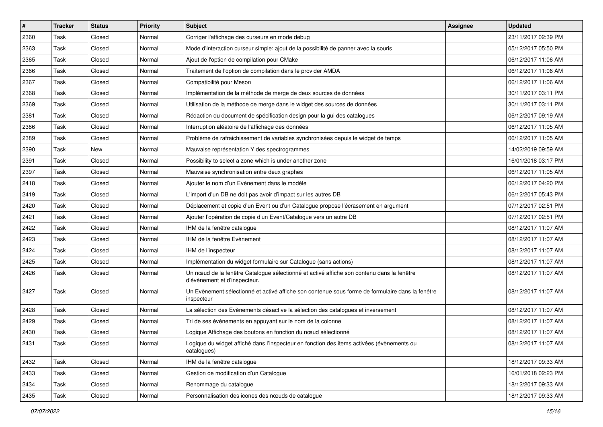| #    | <b>Tracker</b> | <b>Status</b> | <b>Priority</b> | Subject                                                                                                                   | Assignee | <b>Updated</b>      |
|------|----------------|---------------|-----------------|---------------------------------------------------------------------------------------------------------------------------|----------|---------------------|
| 2360 | Task           | Closed        | Normal          | Corriger l'affichage des curseurs en mode debug                                                                           |          | 23/11/2017 02:39 PM |
| 2363 | Task           | Closed        | Normal          | Mode d'interaction curseur simple: ajout de la possibilité de panner avec la souris                                       |          | 05/12/2017 05:50 PM |
| 2365 | Task           | Closed        | Normal          | Ajout de l'option de compilation pour CMake                                                                               |          | 06/12/2017 11:06 AM |
| 2366 | Task           | Closed        | Normal          | Traitement de l'option de compilation dans le provider AMDA                                                               |          | 06/12/2017 11:06 AM |
| 2367 | Task           | Closed        | Normal          | Compatibilité pour Meson                                                                                                  |          | 06/12/2017 11:06 AM |
| 2368 | Task           | Closed        | Normal          | Implémentation de la méthode de merge de deux sources de données                                                          |          | 30/11/2017 03:11 PM |
| 2369 | Task           | Closed        | Normal          | Utilisation de la méthode de merge dans le widget des sources de données                                                  |          | 30/11/2017 03:11 PM |
| 2381 | Task           | Closed        | Normal          | Rédaction du document de spécification design pour la gui des catalogues                                                  |          | 06/12/2017 09:19 AM |
| 2386 | Task           | Closed        | Normal          | Interruption aléatoire de l'affichage des données                                                                         |          | 06/12/2017 11:05 AM |
| 2389 | Task           | Closed        | Normal          | Problème de rafraichissement de variables synchronisées depuis le widget de temps                                         |          | 06/12/2017 11:05 AM |
| 2390 | Task           | New           | Normal          | Mauvaise représentation Y des spectrogrammes                                                                              |          | 14/02/2019 09:59 AM |
| 2391 | Task           | Closed        | Normal          | Possibility to select a zone which is under another zone                                                                  |          | 16/01/2018 03:17 PM |
| 2397 | Task           | Closed        | Normal          | Mauvaise synchronisation entre deux graphes                                                                               |          | 06/12/2017 11:05 AM |
| 2418 | Task           | Closed        | Normal          | Ajouter le nom d'un Evènement dans le modèle                                                                              |          | 06/12/2017 04:20 PM |
| 2419 | Task           | Closed        | Normal          | L'import d'un DB ne doit pas avoir d'impact sur les autres DB                                                             |          | 06/12/2017 05:43 PM |
| 2420 | Task           | Closed        | Normal          | Déplacement et copie d'un Event ou d'un Catalogue propose l'écrasement en argument                                        |          | 07/12/2017 02:51 PM |
| 2421 | Task           | Closed        | Normal          | Ajouter l'opération de copie d'un Event/Catalogue vers un autre DB                                                        |          | 07/12/2017 02:51 PM |
| 2422 | Task           | Closed        | Normal          | IHM de la fenêtre catalogue                                                                                               |          | 08/12/2017 11:07 AM |
| 2423 | Task           | Closed        | Normal          | IHM de la fenêtre Evènement                                                                                               |          | 08/12/2017 11:07 AM |
| 2424 | Task           | Closed        | Normal          | IHM de l'inspecteur                                                                                                       |          | 08/12/2017 11:07 AM |
| 2425 | Task           | Closed        | Normal          | Implémentation du widget formulaire sur Catalogue (sans actions)                                                          |          | 08/12/2017 11:07 AM |
| 2426 | Task           | Closed        | Normal          | Un nœud de la fenêtre Catalogue sélectionné et activé affiche son contenu dans la fenêtre<br>d'évènement et d'inspecteur. |          | 08/12/2017 11:07 AM |
| 2427 | Task           | Closed        | Normal          | Un Evènement sélectionné et activé affiche son contenue sous forme de formulaire dans la fenêtre<br>inspecteur            |          | 08/12/2017 11:07 AM |
| 2428 | Task           | Closed        | Normal          | La sélection des Evènements désactive la sélection des catalogues et inversement                                          |          | 08/12/2017 11:07 AM |
| 2429 | Task           | Closed        | Normal          | Tri de ses évènements en appuyant sur le nom de la colonne                                                                |          | 08/12/2017 11:07 AM |
| 2430 | Task           | Closed        | Normal          | Logique Affichage des boutons en fonction du nœud sélectionné                                                             |          | 08/12/2017 11:07 AM |
| 2431 | Task           | Closed        | Normal          | Logique du widget affiché dans l'inspecteur en fonction des items activées (évènements ou<br>catalogues)                  |          | 08/12/2017 11:07 AM |
| 2432 | Task           | Closed        | Normal          | IHM de la fenêtre catalogue                                                                                               |          | 18/12/2017 09:33 AM |
| 2433 | Task           | Closed        | Normal          | Gestion de modification d'un Catalogue                                                                                    |          | 16/01/2018 02:23 PM |
| 2434 | Task           | Closed        | Normal          | Renommage du catalogue                                                                                                    |          | 18/12/2017 09:33 AM |
| 2435 | Task           | Closed        | Normal          | Personnalisation des icones des nœuds de catalogue                                                                        |          | 18/12/2017 09:33 AM |